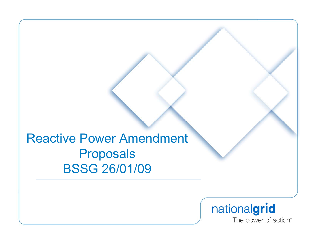Reactive Power Amendment Proposals BSSG 26/01/09

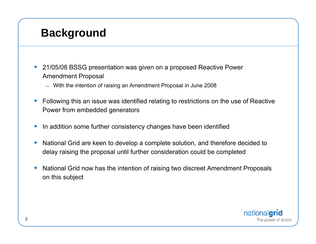### **Background**

- ۰ 21/05/08 BSSG presentation was given on a proposed Reactive Power Amendment Proposal
	- With the intention of raising an Amendment Proposal in June 2008
- ♦ Following this an issue was identified relating to restrictions on the use of Reactive Power from embedded generators
- ♦ In addition some further consistency changes have been identified
- ♦ National Grid are keen to develop a complete solution, and therefore decided to delay raising the proposal until further consideration could be completed
- ♦ National Grid now has the intention of raising two discreet Amendment Proposals on this subject

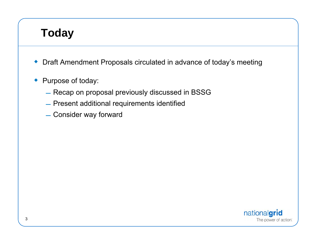## **Today**

- Draft Amendment Proposals circulated in advance of today's meeting
- Purpose of today:
	- $-$  Recap on proposal previously discussed in BSSG
	- $-$  Present additional requirements identified
	- $\_$  Consider way forward

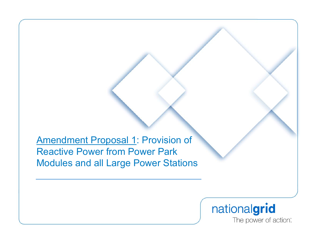**Amendment Proposal 1: Provision of** Reactive Power from Power Park Modules and all Large Power Stations

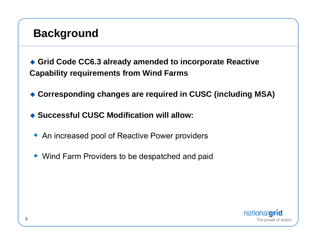### **Background**

 **Grid Code CC6.3 already amended to incorporate Reactive Capability requirements from Wind Farms**

- **Corresponding changes are required in CUSC (including MSA)**
- ◆ Successful CUSC Modification will allow:
	- ◆ An increased pool of Reactive Power providers
	- Wind Farm Providers to be despatched and paid

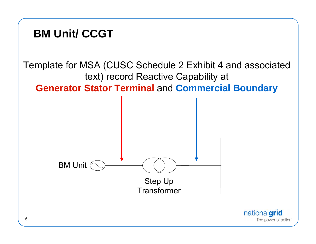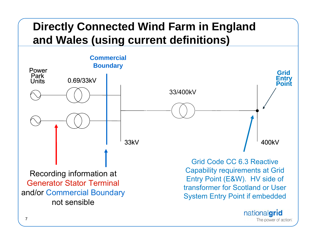## **Directly Connected Wind Farm in England and Wales (using current definitions)**



The power of action: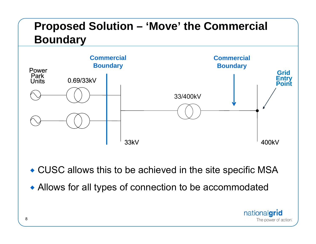# **Proposed Solution – 'Move' the Commercial Boundary**



- CUSC allows this to be achieved in the site specific MSA
- Allows for all types of connection to be accommodated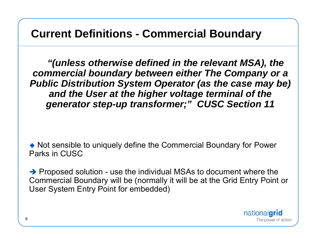### **Current Definitions - Commercial Boundary**

*"(unless otherwise defined in the relevant MSA), the commercial boundary between either The Company or a Public Distribution System Operator (as the case may be) and the User at the higher voltage terminal of the generator step-up transformer;" CUSC Section 11*

 Not sensible to uniquely define the Commercial Boundary for Power Parks in CUSC

 $\rightarrow$  Proposed solution - use the individual MSAs to document where the Commercial Boundary will be (normally it will be at the Grid Entry Point or User System Entry Point for embedded)

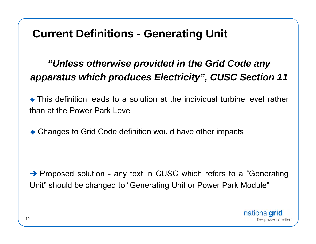### **Current Definitions - Generating Unit**

### *"Unless otherwise provided in the Grid Code any apparatus which produces Electricity", CUSC Section 11*

 This definition leads to a solution at the individual turbine level rather than at the Power Park Level

◆ Changes to Grid Code definition would have other impacts

 $\rightarrow$  Proposed solution - any text in CUSC which refers to a "Generating" Unit" should be changed to "Generating Unit or Power Park Module"

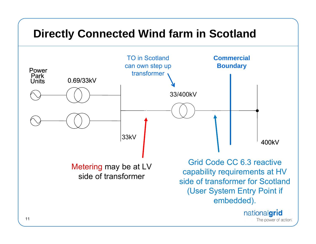### **Directly Connected Wind farm in Scotland**

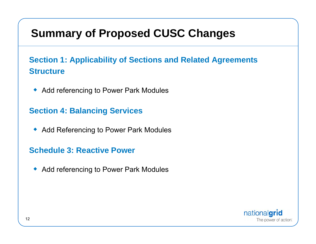### **Summary of Proposed CUSC Changes**

### **Section 1: Applicability of Sections and Related Agreements Structure**

◆ Add referencing to Power Park Modules

### **Section 4: Balancing Services**

◆ Add Referencing to Power Park Modules

#### **Schedule 3: Reactive Power**

 $\blacklozenge$ Add referencing to Power Park Modules

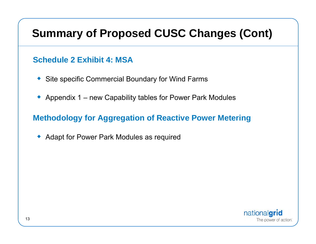### **Summary of Proposed CUSC Changes (Cont)**

### **Schedule 2 Exhibit 4: MSA**

- Site specific Commercial Boundary for Wind Farms
- ◆ Appendix 1 new Capability tables for Power Park Modules

### **Methodology for Aggregation of Reactive Power Metering**

• Adapt for Power Park Modules as required

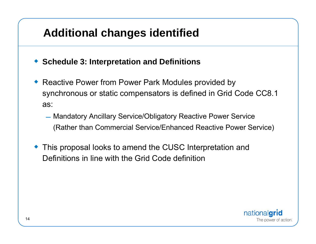### **Additional changes identified**

- **Schedule 3: Interpretation and Definitions**
- ◆ Reactive Power from Power Park Modules provided by synchronous or static compensators is defined in Grid Code CC8.1 as:
	- Mandatory Ancillary Service/Obligatory Reactive Power Service (Rather than Commercial Service/Enhanced Reactive Power Service)
- ◆ This proposal looks to amend the CUSC Interpretation and Definitions in line with the Grid Code definition

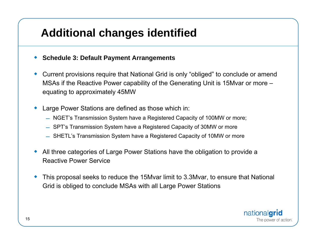### **Additional changes identified**

- ♦ **Schedule 3: Default Payment Arrangements**
- ♦ Current provisions require that National Grid is only "obliged" to conclude or amend MSAs if the Reactive Power capability of the Generating Unit is 15Mvar or more – equating to approximately 45MW
- ♦ Large Power Stations are defined as those which in:
	- NGET's Transmission System have a Registered Capacity of 100MW or more;
	- $\;$  SPT's Transmission System have a Registered Capacity of 30MW or more
	- SHETL's Transmission System have a Registered Capacity of 10MW or more
- ♦ All three categories of Large Power Stations have the obligation to provide a Reactive Power Service
- ♦ This proposal seeks to reduce the 15Mvar limit to 3.3Mvar, to ensure that National Grid is obliged to conclude MSAs with all Large Power Stations

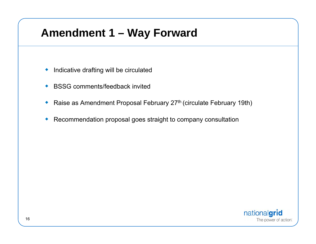### **Amendment 1 – Way Forward**

- ◆ Indicative drafting will be circulated
- ◆ BSSG comments/feedback invited
- ◆ Raise as Amendment Proposal February 27<sup>th</sup> (circulate February 19th)
- ۰ Recommendation proposal goes straight to company consultation

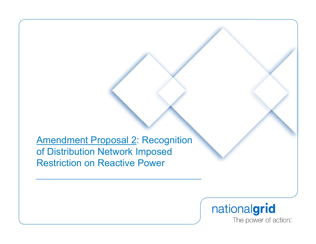Amendment Proposal 2: Recognition of Distribution Network Imposed Restriction on Reactive Power

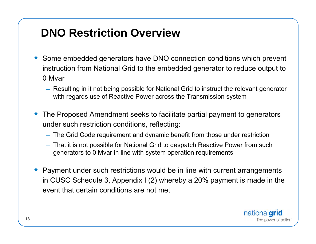## **DNO Restriction Overview**

- Some embedded generators have DNO connection conditions which prevent instruction from National Grid to the embedded generator to reduce output to 0 Mvar
	- Resulting in it not being possible for National Grid to instruct the relevant generator with regards use of Reactive Power across the Transmission system
- The Proposed Amendment seeks to facilitate partial payment to generators under such restriction conditions, reflecting:
	- The Grid Code requirement and dynamic benefit from those under restriction
	- That it is not possible for National Grid to despatch Reactive Power from such generators to 0 Mvar in line with system operation requirements
- ♦ Payment under such restrictions would be in line with current arrangements in CUSC Schedule 3, Appendix I (2) whereby a 20% payment is made in the event that certain conditions are not met

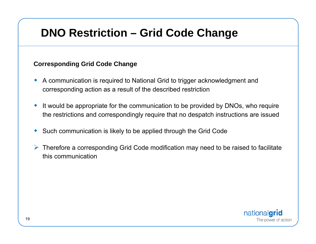### **DNO Restriction – Grid Code Change**

#### **Corresponding Grid Code Change**

- ♦ A communication is required to National Grid to trigger acknowledgment and corresponding action as a result of the described restriction
- ♦ It would be appropriate for the communication to be provided by DNOs, who require the restrictions and correspondingly require that no despatch instructions are issued
- ♦ Such communication is likely to be applied through the Grid Code
- $\triangleright$  Therefore a corresponding Grid Code modification may need to be raised to facilitate this communication